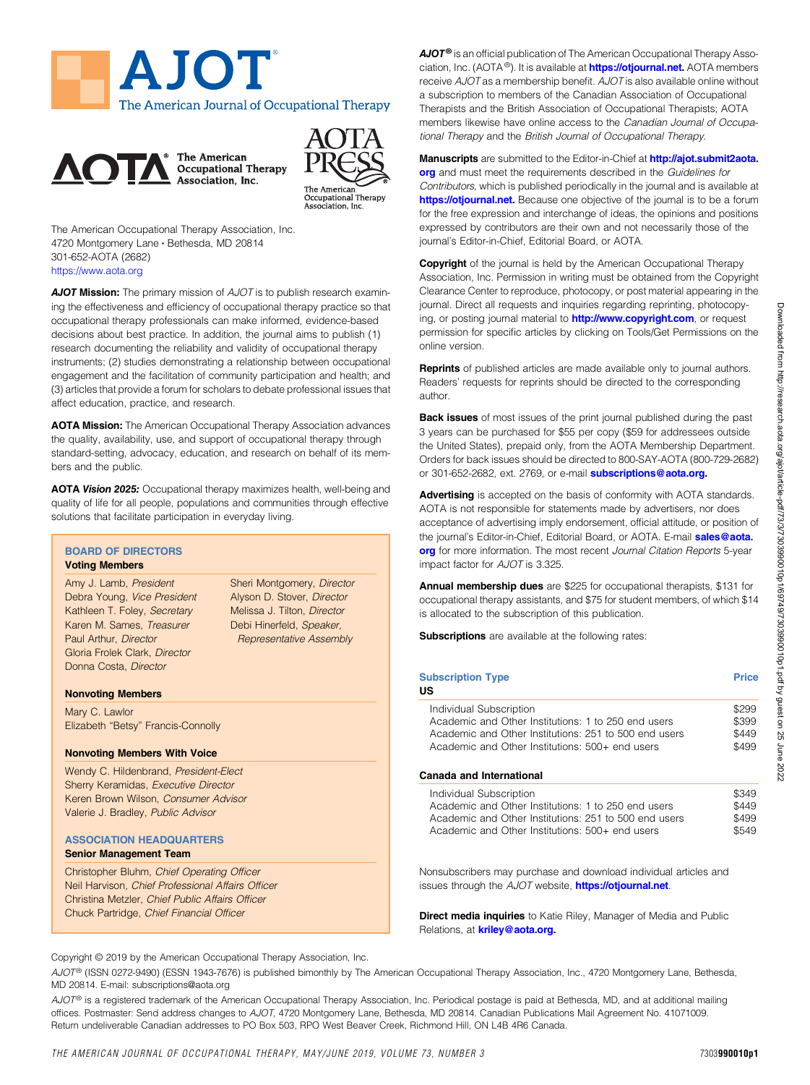





The American Occupational Therapy Association, Inc. 4720 Montgomery Lane · Bethesda, MD 20814 301-652-AOTA (2682) <https://www.aota.org>

AJOT Mission: The primary mission of AJOT is to publish research examining the effectiveness and efficiency of occupational therapy practice so that occupational therapy professionals can make informed, evidence-based decisions about best practice. In addition, the journal aims to publish (1) research documenting the reliability and validity of occupational therapy instruments; (2) studies demonstrating a relationship between occupational engagement and the facilitation of community participation and health; and (3) articles that provide a forum for scholars to debate professional issues that affect education, practice, and research.

AOTA Mission: The American Occupational Therapy Association advances the quality, availability, use, and support of occupational therapy through standard-setting, advocacy, education, and research on behalf of its members and the public.

AOTA Vision 2025: Occupational therapy maximizes health, well-being and quality of life for all people, populations and communities through effective solutions that facilitate participation in everyday living.

# BOARD OF DIRECTORS

#### Voting Members

Amy J. Lamb, President Debra Young, Vice President Kathleen T. Foley, Secretary Karen M. Sames, Treasurer Paul Arthur, Director Gloria Frolek Clark, Director Donna Costa, Director

Sheri Montgomery, Director Alyson D. Stover, Director Melissa J. Tilton, Director Debi Hinerfeld, Speaker, Representative Assembly

#### Nonvoting Members

Mary C. Lawlor Elizabeth "Betsy" Francis-Connolly

#### Nonvoting Members With Voice

Wendy C. Hildenbrand, President-Elect Sherry Keramidas, Executive Director Keren Brown Wilson, Consumer Advisor Valerie J. Bradley, Public Advisor

#### ASSOCIATION HEADQUARTERS Senior Management Team

Christopher Bluhm, Chief Operating Officer Neil Harvison, Chief Professional Affairs Officer Christina Metzler, Chief Public Affairs Officer Chuck Partridge, Chief Financial Officer

 $A$ JOT<sup>®</sup> is an official publication of The American Occupational Therapy Association, Inc. (AOTA<sup>®</sup>). It is available at **<https://otjournal.net>.** AOTA members receive AJOT as a membership benefit. AJOT is also available online without a subscription to members of the Canadian Association of Occupational Therapists and the British Association of Occupational Therapists; AOTA members likewise have online access to the Canadian Journal of Occupational Therapy and the British Journal of Occupational Therapy.

Manuscripts are submitted to the Editor-in-Chief at [http://ajot.submit2aota.](http://ajot.submit2aota.org) [org](http://ajot.submit2aota.org) and must meet the requirements described in the Guidelines for Contributors, which is published periodically in the journal and is available at [https://otjournal.net.](https://otjournal.net) Because one objective of the journal is to be a forum for the free expression and interchange of ideas, the opinions and positions expressed by contributors are their own and not necessarily those of the journal's Editor-in-Chief, Editorial Board, or AOTA.

**Copyright** of the journal is held by the American Occupational Therapy Association, Inc. Permission in writing must be obtained from the Copyright Clearance Center to reproduce, photocopy, or post material appearing in the journal. Direct all requests and inquiries regarding reprinting, photocopying, or posting journal material to **<http://www.copyright.com>**, or request permission for specific articles by clicking on Tools/Get Permissions on the online version.

Reprints of published articles are made available only to journal authors. Readers' requests for reprints should be directed to the corresponding author.

Back issues of most issues of the print journal published during the past 3 years can be purchased for \$55 per copy (\$59 for addressees outside the United States), prepaid only, from the AOTA Membership Department. Orders for back issues should be directed to 800-SAY-AOTA (800-729-2682) or 301-652-2682, ext. 2769, or e-mail [subscriptions@aota.org](mailto:subscriptions@aota.org).

Advertising is accepted on the basis of conformity with AOTA standards. AOTA is not responsible for statements made by advertisers, nor does acceptance of advertising imply endorsement, official attitude, or position of the journal's Editor-in-Chief, Editorial Board, or AOTA. E-mail [sales@aota.](mailto:sales@aota.org) [org](mailto:sales@aota.org) for more information. The most recent Journal Citation Reports 5-year impact factor for AJOT is 3.325.

Annual membership dues are \$225 for occupational therapists, \$131 for occupational therapy assistants, and \$75 for student members, of which \$14 is allocated to the subscription of this publication.

Subscriptions are available at the following rates:

| <b>Subscription Type</b><br>US                                                                                                                                                                                         |                         |  |  |
|------------------------------------------------------------------------------------------------------------------------------------------------------------------------------------------------------------------------|-------------------------|--|--|
| Individual Subscription<br>Academic and Other Institutions: 1 to 250 end users<br>Academic and Other Institutions: 251 to 500 end users<br>Academic and Other Institutions: 500+ end users<br>Canada and International |                         |  |  |
| Individual Subscription<br>Academic and Other Institutions: 1 to 250 end users<br>Academic and Other Institutions: 251 to 500 end users                                                                                | \$349<br>\$449<br>\$499 |  |  |

Academic and Other Institutions: 500+ end users \$549

Nonsubscribers may purchase and download individual articles and issues through the AJOT website, <https://otjournal.net>.

Direct media inquiries to Katie Riley, Manager of Media and Public Relations, at **[kriley@aota.org.](mailto:kriley@aota.org)** 

Copyright © 2019 by the American Occupational Therapy Association, Inc.

AJOT<sup>®</sup> (ISSN 0272-9490) (ESSN 1943-7676) is published bimonthly by The American Occupational Therapy Association, Inc., 4720 Montgomery Lane, Bethesda, MD 20814. E-mail: subscriptions@aota.org

 $A$ J $O T^{\circledast}$  is a registered trademark of the American Occupational Therapy Association, Inc. Periodical postage is paid at Bethesda, MD, and at additional mailing offices. Postmaster: Send address changes to AJOT, 4720 Montgomery Lane, Bethesda, MD 20814. Canadian Publications Mail Agreement No. 41071009. Return undeliverable Canadian addresses to PO Box 503, RPO West Beaver Creek, Richmond Hill, ON L4B 4R6 Canada.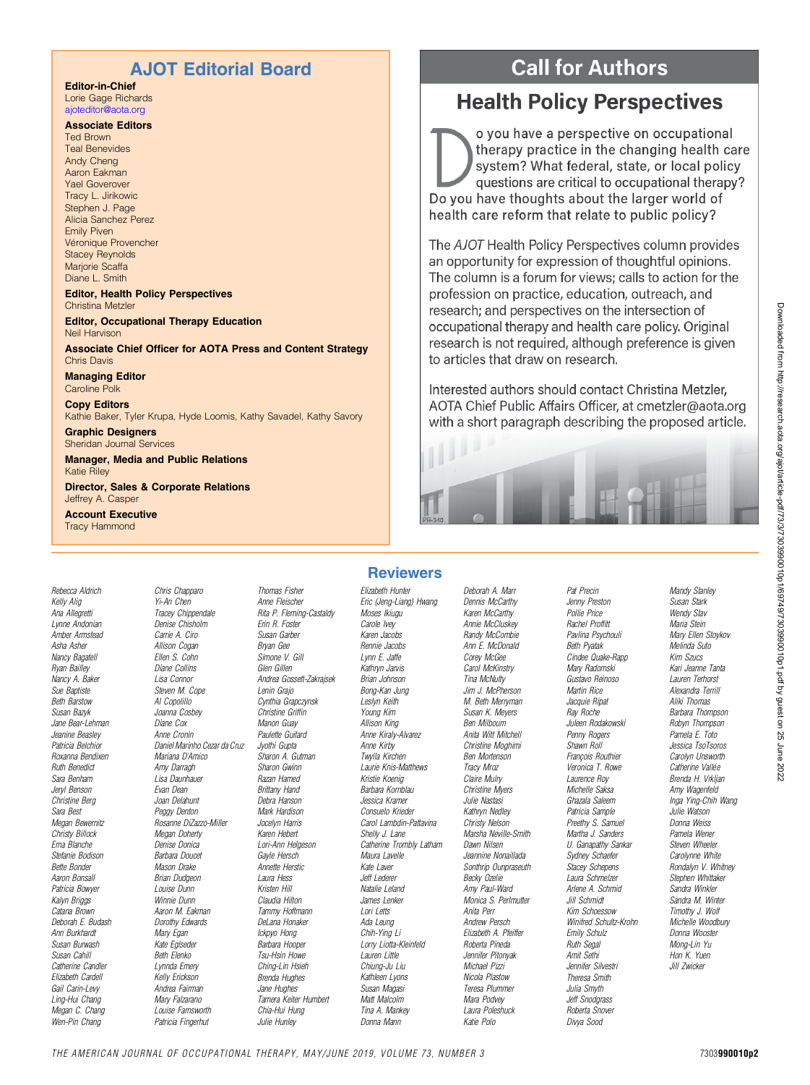# AJOT Editorial Board

### Editor-in-Chief

Lorie Gage Richards [ajoteditor@aota.org](mailto:ajoteditor@aota.org)

#### Associate Editors

Ted Brown Teal Benevides Andy Cheng Aaron Eakman Yael Goverover Tracy L. Jirikowic Stephen J. Page Alicia Sanchez Perez Emily Piven Véronique Provencher Stacey Reynolds Marjorie Scaffa Diane L. Smith

#### Editor, Health Policy Perspectives Christina Metzler

Editor, Occupational Therapy Education Neil Harvison

#### Associate Chief Officer for AOTA Press and Content Strategy Chris Davis

Managing Editor Caroline Polk

Copy Editors Kathie Baker, Tyler Krupa, Hyde Loomis, Kathy Savadel, Kathy Savory

Graphic Designers Sheridan Journal Services

Manager, Media and Public Relations Katie Riley

Director, Sales & Corporate Relations Jeffrey A. Casper

Account Executive Tracy Hammond

Rebecca Aldrich

Kelly Alig Ana Allegretti Lynne Andonian Amber Armstead Asha Asher Nancy Bagatell Ryan Bailley Nancy A. Baker Sue Baptiste Beth Barstow Susan Bazyk Jane Bear-Lehman Jeanine Beasley Patricia Belchior Roxanna Bendixen Ruth Benedict Sara Benham Jeryl Benson Christine Berg Sara Best Megan Bewernitz Christy Billock Erna Blanche Stefanie Bodison Bette Bonder Aaron Bonsall Patricia Bowyer Kalyn Briggs Catana Brown Deborah E. Budash Ann Burkhardt Susan Burwash Susan Cahill Catherine Candler Elizabeth Cardell Gail Carin-Levy Ling-Hui Chang Megan C. Chang Wen-Pin Chang

Chris Chapparo Yi-An Chen Tracey Chippendale Denise Chisholm Carrie A. Ciro Allison Cogan Ellen S. Cohn Diane Collins Lisa Connor Steven M. Cope Al Copolillo Joanna Cosbey Diane Cox Anne Cronin Daniel Marinho Cezar da Cruz Mariana D'Amico Amy Darragh Lisa Daunhauer Evan Dean Joan Delahunt Peggy Denton Rosanne DiZazzo-Miller Megan Doherty Denise Donica Barbara Doucet Mason Drake Brian Dudgeon Louise Dunn Winnie Dunn Aaron M. Eakman Dorothy Edwards Mary Egan Kate Eglseder Beth Elenko Lynnda Emery Kelly Erickson Andrea Fairman Mary Falzarano Louise Farnsworth Patricia Fingerhut Julie Hunley

Thomas Fisher Anne Fleischer Rita P. Fleming-Castaldy Erin R. Foster Susan Garber Bryan Gee Simone V. Gill Glen Gillen Andrea Gossett-Zakrajsek Lenin Grajo Cynthia Grapczynsk Christine Griffin Manon Guay Paulette Guitard Jyothi Gupta Sharon A. Gutman Sharon Gwinn Razan Hamed Brittany Hand Debra Hanson Mark Hardison Jocelyn Harris Karen Hebert Lori-Ann Helgeson Gayle Hersch Annette Herstic Laura Hess Kristen Hill Claudia Hilton Tammy Hoffmann DeLana Honaker Ickpyo Hong Barbara Hooper Tsu-Hsin Howe Ching-Lin Hsieh Brenda Hughes Jane Hughes Tamera Keiter Humbert Chia-Hui Hung

## **Reviewers**

Elizabeth Hunter

Eric (Jeng-Liang) Hwang Moses Ikiugu Carole Ivey Karen Jacobs Rennie Jacobs Lynn E. Jaffe Kathryn Jarvis Brian Johnson Bong-Kan Jung Leslyn Keith Young Kim Allison King Anne Kiraly-Alvarez Anne Kirby Twylla Kirchen Laurie Knis-Matthews Kristie Koenig Barbara Kornblau Jessica Kramer Consuelo Krieder Carol Lambdin-Pattavina Shelly J. Lane Catherine Trombly Latham Maura Lavelle Kate Laver Jeff Lederer Natalie Leland James Lenker Lori Letts Ada Leung Chih-Ying Li Lorry Liotta-Kleinfeld Lauren Little Chiung-Ju Liu Kathleen Lyons Susan Magasi Matt Malcolm Tina A. Mankey Donna Mann

Deborah A. Marr Dennis McCarthy Karen McCarthy Annie McCluskey Randy McCombie Ann E. McDonald Corey McGee Carol McKinstry Tina McNulty Jim J. McPherson M. Beth Merryman Susan K. Meyers Ben Milbourn Anita Witt Mitchell Christine Moghimi Ben Mortenson Tracy Mroz Claire Mulry Christine Myers Julie Nastasi Kathryn Nedley Christy Nelson Marsha Neville-Smith Dawn Nilsen Jeannine Nonaillada Sonthrip Ounpraseuth Becky Ozelie Amy Paul-Ward Monica S. Perlmutter Anita Perr Andrew Persch Elizabeth A. Pfeiffer Roberta Pineda Jennifer Pitonyak Michael Pizzi Nicola Plastow Teresa Plummer Mara Podvey Laura Poleshuck Katie Polo

Pat Precin Jenny Preston Pollie Price Rachel Proffitt Pavlina Psychouli Beth Pyatak Cindee Quake-Rapp Mary Radomski Gustavo Reinoso Martin Rice Jacquie Ripat Ray Roche Juleen Rodakowski Penny Rogers Shawn Roll François Routhier Veronica T. Rowe Laurence Roy Michelle Saksa Ghazala Saleem Patricia Sample Preethy S. Samuel Martha J. Sanders U. Ganapathy Sankar Sydney Schaefer Stacey Schepens Laura Schmelzer Arlene A. Schmid Jill Schmidt Kim Schoessow Winifred Schultz-Krohn Emily Schulz Ruth Segal Amit Sethi Jennifer Silvestri Theresa Smith Julia Smyth Jeff Snodgrass Roberta Snover Divya Sood

**Call for Authors Health Policy Perspectives** 

o you have a perspective on occupational therapy practice in the changing health care system? What federal, state, or local policy questions are critical to occupational therapy? Do you have thoughts about the larger world of health care reform that relate to public policy?

The AJOT Health Policy Perspectives column provides an opportunity for expression of thoughtful opinions. The column is a forum for views; calls to action for the profession on practice, education, outreach, and research; and perspectives on the intersection of occupational therapy and health care policy. Original research is not required, although preference is given to articles that draw on research.

Interested authors should contact Christina Metzler. AOTA Chief Public Affairs Officer, at cmetzler@aota.org with a short paragraph describing the proposed article.

Mandy Stanley Susan Stark Wendy Stav Maria Stein Mary Ellen Stoykov Melinda Suto Kim Szucs Kari Jeanne Tanta Lauren Terhorst Alexandra Terrill Aliki Thomas Barbara Thompson Robyn Thompson Pamela E. Toto Jessica TsoTsoros Carolyn Unsworth Catherine Vallée Brenda H. Vrkljan Amy Wagenfeld Inga Ying-Chih Wang Julie Watson Donna Weiss Pamela Wener Steven Wheeler Carolynne White Rondalyn V. Whitney Stephen Whittaker Sandra Winkler Sandra M. Winter Timothy J. Wolf Michelle Woodbury Donna Wooster Mong-Lin Yu Hon K. Yuen Jill Zwicker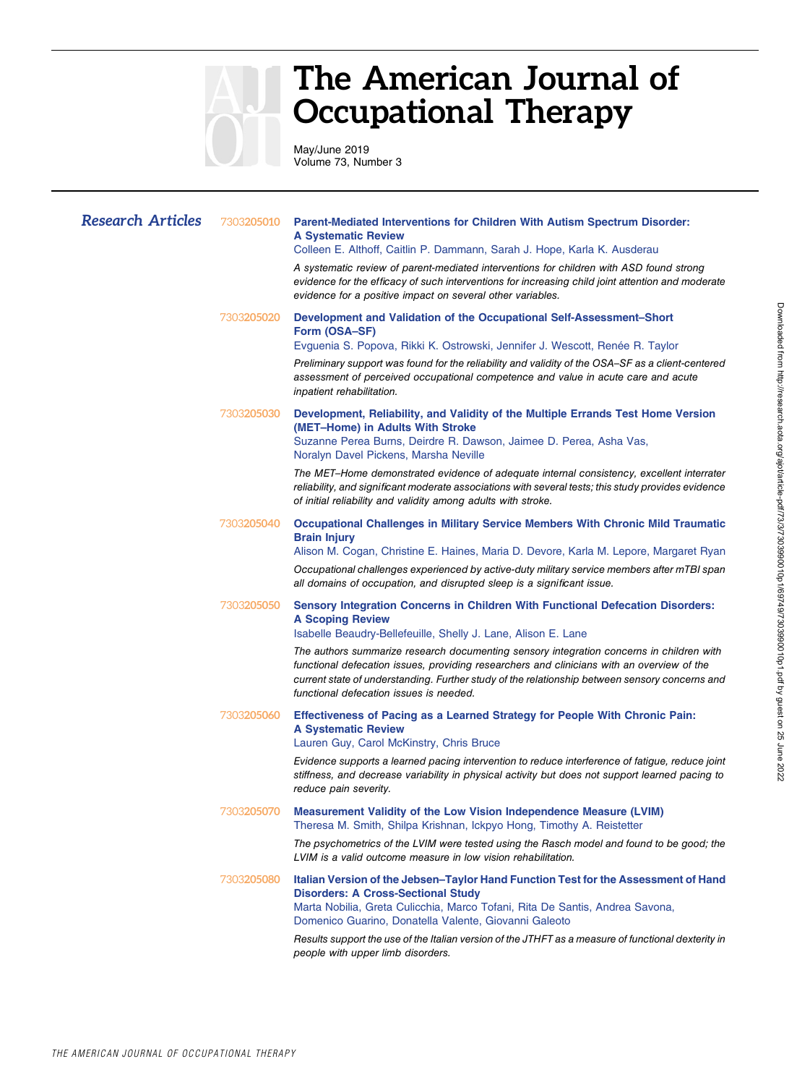

# The American Journal of Occupational Therapy

May/June 2019 Volume 73, Number 3

| <b>Research Articles</b> | 7303205010         | Parent-Mediated Interventions for Children With Autism Spectrum Disorder:<br><b>A Systematic Review</b><br>Colleen E. Althoff, Caitlin P. Dammann, Sarah J. Hope, Karla K. Ausderau<br>A systematic review of parent-mediated interventions for children with ASD found strong<br>evidence for the efficacy of such interventions for increasing child joint attention and moderate<br>evidence for a positive impact on several other variables.                                                                        |
|--------------------------|--------------------|--------------------------------------------------------------------------------------------------------------------------------------------------------------------------------------------------------------------------------------------------------------------------------------------------------------------------------------------------------------------------------------------------------------------------------------------------------------------------------------------------------------------------|
|                          | 7303205020         | Development and Validation of the Occupational Self-Assessment-Short<br>Form (OSA-SF)<br>Evguenia S. Popova, Rikki K. Ostrowski, Jennifer J. Wescott, Renée R. Taylor<br>Preliminary support was found for the reliability and validity of the OSA-SF as a client-centered<br>assessment of perceived occupational competence and value in acute care and acute<br>inpatient rehabilitation.                                                                                                                             |
|                          | 7303205030         | Development, Reliability, and Validity of the Multiple Errands Test Home Version<br>(MET-Home) in Adults With Stroke<br>Suzanne Perea Burns, Deirdre R. Dawson, Jaimee D. Perea, Asha Vas,<br>Noralyn Davel Pickens, Marsha Neville<br>The MET-Home demonstrated evidence of adequate internal consistency, excellent interrater<br>reliability, and significant moderate associations with several tests; this study provides evidence<br>of initial reliability and validity among adults with stroke.                 |
|                          | 7303 <b>205040</b> | <b>Occupational Challenges in Military Service Members With Chronic Mild Traumatic</b><br><b>Brain Injury</b><br>Alison M. Cogan, Christine E. Haines, Maria D. Devore, Karla M. Lepore, Margaret Ryan<br>Occupational challenges experienced by active-duty military service members after mTBI span<br>all domains of occupation, and disrupted sleep is a significant issue.                                                                                                                                          |
|                          | 7303205050         | <b>Sensory Integration Concerns in Children With Functional Defecation Disorders:</b><br><b>A Scoping Review</b><br>Isabelle Beaudry-Bellefeuille, Shelly J. Lane, Alison E. Lane<br>The authors summarize research documenting sensory integration concerns in children with<br>functional defecation issues, providing researchers and clinicians with an overview of the<br>current state of understanding. Further study of the relationship between sensory concerns and<br>functional defecation issues is needed. |
|                          | 7303205060         | Effectiveness of Pacing as a Learned Strategy for People With Chronic Pain:<br><b>A Systematic Review</b><br>Lauren Guy, Carol McKinstry, Chris Bruce<br>Evidence supports a learned pacing intervention to reduce interference of fatigue, reduce joint<br>stiffness, and decrease variability in physical activity but does not support learned pacing to<br>reduce pain severity.                                                                                                                                     |
|                          | 7303205070         | Measurement Validity of the Low Vision Independence Measure (LVIM)<br>Theresa M. Smith, Shilpa Krishnan, Ickpyo Hong, Timothy A. Reistetter<br>The psychometrics of the LVIM were tested using the Rasch model and found to be good; the<br>LVIM is a valid outcome measure in low vision rehabilitation.                                                                                                                                                                                                                |
|                          | 7303205080         | Italian Version of the Jebsen-Taylor Hand Function Test for the Assessment of Hand<br><b>Disorders: A Cross-Sectional Study</b><br>Marta Nobilia, Greta Culicchia, Marco Tofani, Rita De Santis, Andrea Savona,<br>Domenico Guarino, Donatella Valente, Giovanni Galeoto<br>Results support the use of the Italian version of the JTHFT as a measure of functional dexterity in<br>people with upper limb disorders.                                                                                                     |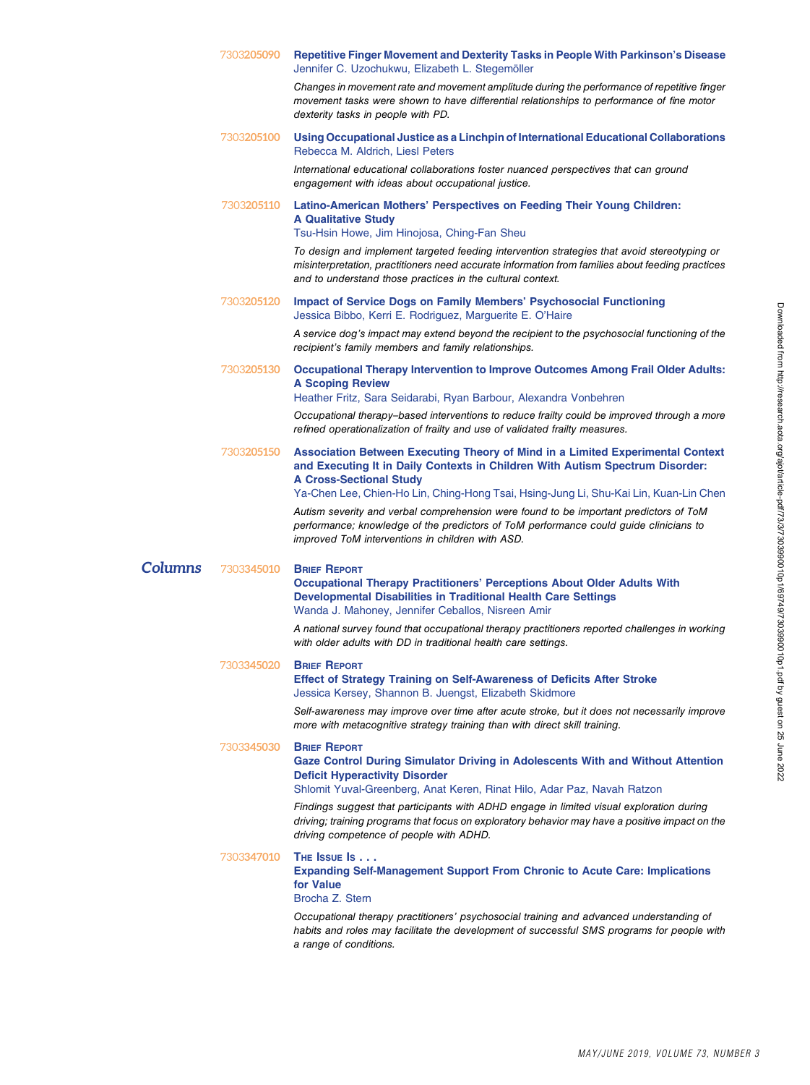|         | 7303 <b>205090</b> | Repetitive Finger Movement and Dexterity Tasks in People With Parkinson's Disease<br>Jennifer C. Uzochukwu, Elizabeth L. Stegemöller                                                                                                                                                       |
|---------|--------------------|--------------------------------------------------------------------------------------------------------------------------------------------------------------------------------------------------------------------------------------------------------------------------------------------|
|         |                    | Changes in movement rate and movement amplitude during the performance of repetitive finger<br>movement tasks were shown to have differential relationships to performance of fine motor<br>dexterity tasks in people with PD.                                                             |
|         | 7303205100         | Using Occupational Justice as a Linchpin of International Educational Collaborations<br>Rebecca M. Aldrich, Liesl Peters                                                                                                                                                                   |
|         |                    | International educational collaborations foster nuanced perspectives that can ground<br>engagement with ideas about occupational justice.                                                                                                                                                  |
|         | 7303205110         | Latino-American Mothers' Perspectives on Feeding Their Young Children:<br><b>A Qualitative Study</b><br>Tsu-Hsin Howe, Jim Hinojosa, Ching-Fan Sheu                                                                                                                                        |
|         |                    | To design and implement targeted feeding intervention strategies that avoid stereotyping or<br>misinterpretation, practitioners need accurate information from families about feeding practices<br>and to understand those practices in the cultural context.                              |
|         | 7303 <b>205120</b> | <b>Impact of Service Dogs on Family Members' Psychosocial Functioning</b><br>Jessica Bibbo, Kerri E. Rodriguez, Marguerite E. O'Haire                                                                                                                                                      |
|         |                    | A service dog's impact may extend beyond the recipient to the psychosocial functioning of the<br>recipient's family members and family relationships.                                                                                                                                      |
|         | 7303 <b>205130</b> | <b>Occupational Therapy Intervention to Improve Outcomes Among Frail Older Adults:</b><br><b>A Scoping Review</b>                                                                                                                                                                          |
|         |                    | Heather Fritz, Sara Seidarabi, Ryan Barbour, Alexandra Vonbehren                                                                                                                                                                                                                           |
|         |                    | Occupational therapy–based interventions to reduce frailty could be improved through a more<br>refined operationalization of frailty and use of validated frailty measures.                                                                                                                |
|         | 7303205150         | Association Between Executing Theory of Mind in a Limited Experimental Context<br>and Executing It in Daily Contexts in Children With Autism Spectrum Disorder:<br><b>A Cross-Sectional Study</b><br>Ya-Chen Lee, Chien-Ho Lin, Ching-Hong Tsai, Hsing-Jung Li, Shu-Kai Lin, Kuan-Lin Chen |
|         |                    | Autism severity and verbal comprehension were found to be important predictors of ToM<br>performance; knowledge of the predictors of ToM performance could guide clinicians to<br>improved ToM interventions in children with ASD.                                                         |
| Columns | 7303345010         | <b>BRIEF REPORT</b><br><b>Occupational Therapy Practitioners' Perceptions About Older Adults With</b><br><b>Developmental Disabilities in Traditional Health Care Settings</b><br>Wanda J. Mahoney, Jennifer Ceballos, Nisreen Amir                                                        |
|         |                    | A national survey found that occupational therapy practitioners reported challenges in working<br>with older adults with DD in traditional health care settings.                                                                                                                           |
|         | 7303345020         | <b>BRIEF REPORT</b><br><b>Effect of Strategy Training on Self-Awareness of Deficits After Stroke</b><br>Jessica Kersey, Shannon B. Juengst, Elizabeth Skidmore                                                                                                                             |
|         |                    | Self-awareness may improve over time after acute stroke, but it does not necessarily improve<br>more with metacognitive strategy training than with direct skill training.                                                                                                                 |
|         | 7303345030         | <b>BRIEF REPORT</b><br>Gaze Control During Simulator Driving in Adolescents With and Without Attention<br><b>Deficit Hyperactivity Disorder</b><br>Shlomit Yuval-Greenberg, Anat Keren, Rinat Hilo, Adar Paz, Navah Ratzon                                                                 |
|         |                    | Findings suggest that participants with ADHD engage in limited visual exploration during<br>driving; training programs that focus on exploratory behavior may have a positive impact on the<br>driving competence of people with ADHD.                                                     |
|         | 7303 <b>347010</b> | THE ISSUE IS<br><b>Expanding Self-Management Support From Chronic to Acute Care: Implications</b><br>for Value<br>Brocha Z. Stern                                                                                                                                                          |
|         |                    | Occupational therapy practitioners' psychosocial training and advanced understanding of<br>habits and roles may facilitate the development of successful SMS programs for people with<br>a range of conditions.                                                                            |